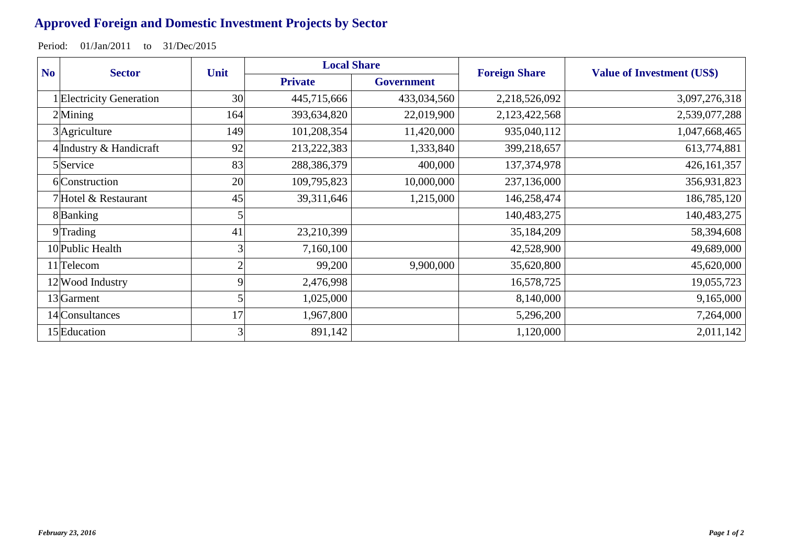## **Approved Foreign and Domestic Investment Projects by Sector**

Period: 01/Jan/2011 to 31/Dec/2015

| N <sub>o</sub><br><b>Sector</b> | Unit           | <b>Local Share</b> |                   | <b>Foreign Share</b> | <b>Value of Investment (US\$)</b> |
|---------------------------------|----------------|--------------------|-------------------|----------------------|-----------------------------------|
|                                 |                | <b>Private</b>     | <b>Government</b> |                      |                                   |
| 1 Electricity Generation        | 30             | 445,715,666        | 433,034,560       | 2,218,526,092        | 3,097,276,318                     |
| $2$ Mining                      | 164            | 393,634,820        | 22,019,900        | 2,123,422,568        | 2,539,077,288                     |
| 3 Agriculture                   | 149            | 101,208,354        | 11,420,000        | 935,040,112          | 1,047,668,465                     |
| 4 Industry & Handicraft         | 92             | 213,222,383        | 1,333,840         | 399,218,657          | 613,774,881                       |
| 5 Service                       | 83             | 288,386,379        | 400,000           | 137, 374, 978        | 426,161,357                       |
| 6 Construction                  | 20             | 109,795,823        | 10,000,000        | 237,136,000          | 356,931,823                       |
| 7 Hotel & Restaurant            | 45             | 39,311,646         | 1,215,000         | 146,258,474          | 186,785,120                       |
| 8Banking                        |                |                    |                   | 140,483,275          | 140,483,275                       |
| $9$ Trading                     | 41             | 23,210,399         |                   | 35,184,209           | 58,394,608                        |
| 10 Public Health                | 3              | 7,160,100          |                   | 42,528,900           | 49,689,000                        |
| 11 <sup>T</sup> elecom          | $\mathfrak{D}$ | 99,200             | 9,900,000         | 35,620,800           | 45,620,000                        |
| 12 Wood Industry                |                | 2,476,998          |                   | 16,578,725           | 19,055,723                        |
| 13 <sup></sup> Garment          |                | 1,025,000          |                   | 8,140,000            | 9,165,000                         |
| 14 Consultances                 | 17             | 1,967,800          |                   | 5,296,200            | 7,264,000                         |
| 15 Education                    | $\overline{3}$ | 891,142            |                   | 1,120,000            | 2,011,142                         |